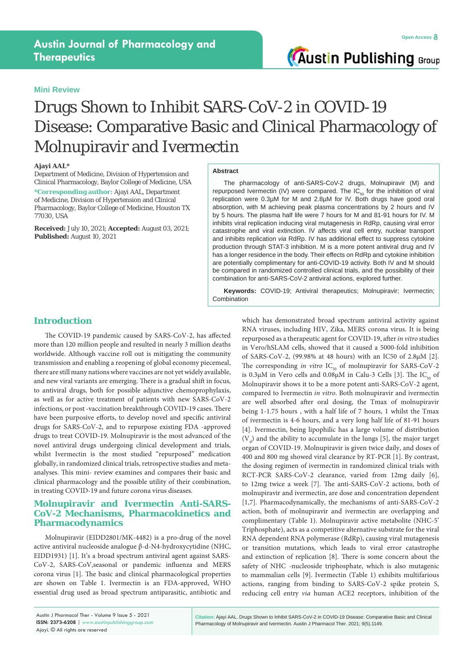### **Mini Review**

**Austin Publishing Group** 

# Drugs Shown to Inhibit SARS-CoV-2 in COVID-19 Disease: Comparative Basic and Clinical Pharmacology of Molnupiravir and Ivermectin

#### **Ajayi AAL\***

Department of Medicine, Division of Hypertension and Clinical Pharmacology, Baylor College of Medicine, USA

**\*Corresponding author:** Ajayi AAL, Department of Medicine, Division of Hypertension and Clinical Pharmacology, Baylor College of Medicine, Houston TX 77030, USA

**Received:** July 10, 2021; **Accepted:** August 03, 2021; **Published:** August 10, 2021

## **Abstract**

The pharmacology of anti-SARS-CoV-2 drugs, Molnupiravir (M) and repurposed Ivermectin (IV) were compared. The  $IC_{50}$  for the inhibition of viral replication were 0.3µM for M and 2.8µM for IV. Both drugs have good oral absorption, with M achieving peak plasma concentrations by 2 hours and IV by 5 hours. The plasma half life were 7 hours for M and 81-91 hours for IV. M inhibits viral replication inducing viral mutagenesis in RdRp, causing viral error catastrophe and viral extinction. IV affects viral cell entry, nuclear transport and inhibits replication *via* RdRp. IV has additional effect to suppress cytokine production through STAT-3 inhibition. M is a more potent antiviral drug and IV has a longer residence in the body. Their effects on RdRp and cytokine inhibition are potentially complimentary for anti-COVID-19 activity. Both IV and M should be compared in randomized controlled clinical trials, and the possibility of their combination for anti-SARS-CoV-2 antiviral actions, explored further.

**Keywords:** COVID-19; Antiviral therapeutics; Molnupiravir; Ivermectin; **Combination** 

# **Introduction**

The COVID-19 pandemic caused by SARS-CoV-2, has affected more than 120 million people and resulted in nearly 3 million deaths worldwide. Although vaccine roll out is mitigating the community transmission and enabling a reopening of global economy piecemeal, there are still many nations where vaccines are not yet widely available, and new viral variants are emerging. There is a gradual shift in focus, to antiviral drugs, both for possible adjunctive chemoprophylaxis, as well as for active treatment of patients with new SARS-CoV-2 infections, or post -vaccination breakthrough COVID-19 cases. There have been purposive efforts, to develop novel and specific antiviral drugs for SARS-CoV-2, and to repurpose existing FDA -approved drugs to treat COVID-19. Molnupiravir is the most advanced of the novel antiviral drugs undergoing clinical development and trials, whilst Ivermectin is the most studied "repurposed" medication globally, in randomized clinical trials, retrospective studies and metaanalyses. This mini- review examines and compares their basic and clinical pharmacology and the possible utility of their combination, in treating COVID-19 and future corona virus diseases.

# **Molnupiravir and Ivermectin Anti-SARS-CoV-2 Mechanisms, Pharmacokinetics and Pharmacodynamics**

Molnupiravir (EIDD2801/MK-4482) is a pro-drug of the novel active antiviral nucleoside analogue β-d-N4-hydroxycytidine (NHC, EIDD1931) [1]. It's a broad spectrum antiviral agent against SARS-CoV-2, SARS-CoV,seasonal or pandemic influenza and MERS corona virus [1]. The basic and clinical pharmacological properties are shown on Table 1. Ivermectin is an FDA-approved, WHO essential drug used as broad spectrum antiparasitic, antibiotic and

which has demonstrated broad spectrum antiviral activity against RNA viruses, including HIV, Zika, MERS corona virus. It is being repurposed as a therapeutic agent for COVID-19, after *in vitro* studies in Vero/hSLAM cells, showed that it caused a 5000-fold inhibition of SARS-CoV-2, (99.98% at 48 hours) with an IC50 of 2.8µM [2]. The corresponding *in vitro* IC<sub>50</sub> of molnupiravir for SARS-CoV-2 is 0.3 $\mu$ M in Vero cells and 0.08 $\mu$ M in Calu-3 Cells [3]. The IC<sub>50</sub> of Molnupiravir shows it to be a more potent anti-SARS-CoV-2 agent, compared to Ivermectin *in vitro*. Both molnupiravir and ivermectin are well absorbed after oral dosing, the Tmax of molnupiravir being 1-1.75 hours , with a half life of 7 hours, 1 whilst the Tmax of ivermectin is 4-6 hours, and a very long half life of 81-91 hours [4]. Ivermectin, being lipophilic has a large volume of distribution  $(V_d)$  and the ability to accumulate in the lungs [5], the major target organ of COVID-19. Molnupiravir is given twice daily, and doses of 400 and 800 mg showed viral clearance by RT-PCR [1]. By contrast, the dosing regimen of ivermectin in randomized clinical trials with RCT-PCR SARS-CoV-2 clearance, varied from 12mg daily [6], to 12mg twice a week [7]. The anti-SARS-CoV-2 actions, both of molnupiravir and ivermectin, are dose and concentration dependent [1,7]. Pharmacodynamically, the mechanisms of anti-SARS-CoV-2 action, both of molnupiravir and ivermectin are overlapping and complimentary (Table 1). Molnupiravir active metabolite (NHC-5' Triphosphate), acts as a competitive alternative substrate for the viral RNA dependent RNA polymerase (RdRp), causing viral mutagenesis or transition mutations, which leads to viral error catastrophe and extinction of replication [8]. There is some concern about the safety of NHC -nucleoside triphosphate, which is also mutagenic to mammalian cells [9]. Ivermectin (Table 1) exhibits multifarious actions, ranging from binding to SARS-CoV-2 spike protein S, reducing cell entry *via* human ACE2 receptors, inhibition of the

**Citation:** Ajayi AAL. Drugs Shown to Inhibit SARS-CoV-2 in COVID-19 Disease: Comparative Basic and Clinical Pharmacology of Molnupiravir and Ivermectin. Austin J Pharmacol Ther. 2021; 9(5).1149.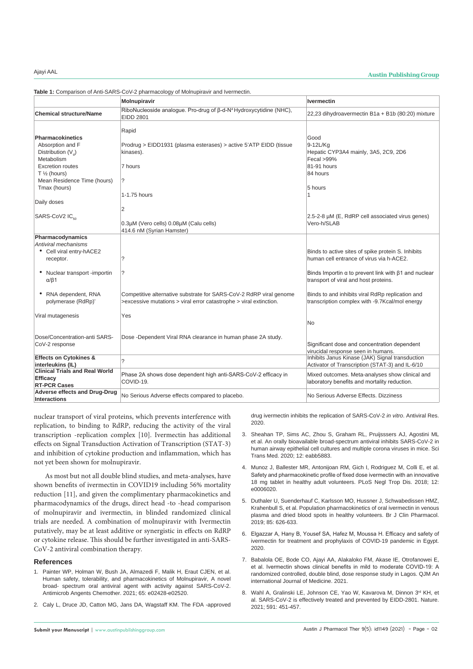# Ajayi AAL **Austin Publishing Group**

**Table 1:** Comparison of Anti-SARS-CoV-2 pharmacology of Molnupiravir and Ivermectin.

|                                                                                                                                                                                                       | <b>Molnupiravir</b>                                                                                                                      | <b>Ivermectin</b>                                                                                                                                                                                             |
|-------------------------------------------------------------------------------------------------------------------------------------------------------------------------------------------------------|------------------------------------------------------------------------------------------------------------------------------------------|---------------------------------------------------------------------------------------------------------------------------------------------------------------------------------------------------------------|
| <b>Chemical structure/Name</b>                                                                                                                                                                        | RiboNucleoside analogue. Pro-drug of B-d-N <sup>4</sup> Hydroxycytidine (NHC),<br>EIDD 2801                                              | 22,23 dihydroavermectin B1a + B1b (80:20) mixture                                                                                                                                                             |
| <b>Pharmacokinetics</b><br>Absorption and F<br>Distribution $(V_a)$<br>Metabolism<br><b>Excretion routes</b><br>$T \frac{1}{2}$ (hours)<br>Mean Residence Time (hours)<br>Tmax (hours)<br>Daily doses | Rapid<br>Prodrug > EIDD1931 (plasma esterases) > active 5'ATP EIDD (tissue<br>kinases).<br>7 hours<br>?<br>1-1.75 hours<br>2             | Good<br>9-12L/Kg<br>Hepatic CYP3A4 mainly, 3A5, 2C9, 2D6<br>Fecal >99%<br>81-91 hours<br>84 hours<br>5 hours<br>1                                                                                             |
| SARS-CoV2 IC <sub>co</sub>                                                                                                                                                                            | 0.3µM (Vero cells) 0.08µM (Calu cells)<br>414.6 nM (Syrian Hamster)                                                                      | 2.5-2-8 µM (E, RdRP cell associated virus genes)<br>Vero-h/SLAB                                                                                                                                               |
| Pharmacodynamics<br>Antiviral mechanisms<br>• Cell viral entry-hACE2<br>receptor.<br>• Nuclear transport -importin<br>$\alpha$ / $\beta$ 1                                                            | ?<br>?                                                                                                                                   | Binds to active sites of spike protein S. Inhibits<br>human cell entrance of virus via h-ACE2.<br>Binds Importin $\alpha$ to prevent link with $\beta$ 1 and nuclear<br>transport of viral and host proteins. |
| • RNA dependent, RNA<br>polymerase (RdRp)*                                                                                                                                                            | Competitive alternative substrate for SARS-CoV-2 RdRP viral genome<br>>excessive mutations > viral error catastrophe > viral extinction. | Binds to and inhibits viral RdRp replication and<br>transcription complex with -9.7Kcal/mol energy                                                                                                            |
| Viral mutagenesis                                                                                                                                                                                     | Yes                                                                                                                                      | <b>No</b>                                                                                                                                                                                                     |
| Dose/Concentration-anti SARS-<br>CoV-2 response                                                                                                                                                       | Dose -Dependent Viral RNA clearance in human phase 2A study.                                                                             | Significant dose and concentration dependent<br>virucidal response seen in humans.                                                                                                                            |
| <b>Effects on Cytokines &amp;</b><br>interleukins (IL)                                                                                                                                                | $\overline{\phantom{0}}$                                                                                                                 | Inhibits Janus Kinase (JAK) Signal transduction<br>Activator of Transcription (STAT-3) and IL-6/10                                                                                                            |
| <b>Clinical Trials and Real World</b><br>Efficacy<br><b>RT-PCR Cases</b>                                                                                                                              | Phase 2A shows dose dependent high anti-SARS-CoV-2 efficacy in<br>COVID-19.                                                              | Mixed outcomes. Meta-analyses show clinical and<br>laboratory benefits and mortality reduction.                                                                                                               |
| Adverse effects and Drug-Drug<br><b>Interactions</b>                                                                                                                                                  | No Serious Adverse effects compared to placebo.                                                                                          | No Serious Adverse Effects. Dizziness                                                                                                                                                                         |

nuclear transport of viral proteins, which prevents interference with replication, to binding to RdRP, reducing the activity of the viral transcription -replication complex [10]. Ivermectin has additional effects on Signal Transduction Activation of Transcription (STAT-3) and inhibition of cytokine production and inflammation, which has not yet been shown for molnupiravir.

As most but not all double blind studies, and meta-analyses, have shown benefits of ivermectin in COVID19 including 56% mortality reduction [11], and given the complimentary pharmacokinetics and pharmacodynamics of the drugs, direct head -to -head comparison of molnupiravir and ivermectin, in blinded randomized clinical trials are needed. A combination of molnupiravir with Ivermectin putatively, may be at least additive or synergistic in effects on RdRP or cytokine release. This should be further investigated in anti-SARS-CoV-2 antiviral combination therapy.

### **References**

- 1. Painter WP, Holman W, Bush JA, Almazedi F, Malik H, Fraut CJFN, et al. Human safety, tolerability, and pharmacokinetics of Molnupiravir, A novel broad- spectrum oral antiviral agent with activity against SARS-CoV-2. Antimicrob Angents Chemother. 2021; 65: e02428-e02520.
- 2. [Caly L, Druce JD, Catton MG, Jans DA, Wagstaff KM. The FDA -approved](http://revistabionatura.com/files/2020.05.04.3.pdf)

[drug ivermectin inhibits the replication of SARS-CoV-2](http://revistabionatura.com/files/2020.05.04.3.pdf) *in vitro*. Antiviral Res. [2020.](http://revistabionatura.com/files/2020.05.04.3.pdf)

- 3. Sheahan TP, Sims AC, Zhou S, Graham RL, Pruijsssers AJ, Agostini ML et al. An orally bioavailable broad-spectrum antiviral inhibits SARS-CoV-2 in human airway epithelial cell cultures and multiple corona viruses in mice. Sci Trans Med. 2020; 12: eabb5883.
- 4. [Munoz J, Ballester MR, Antonijoan RM, Gich I, Rodriguez M, Colli E, et al.](https://pubmed.ncbi.nlm.nih.gov/29346388/)  [Safety and pharmacokinetic profile of fixed dose ivermectin with an innovative](https://pubmed.ncbi.nlm.nih.gov/29346388/)  [18 mg tablet in healthy adult volunteers. PLoS Negl Trop Dis. 2018; 12:](https://pubmed.ncbi.nlm.nih.gov/29346388/)  [e0006020.](https://pubmed.ncbi.nlm.nih.gov/29346388/)
- 5. [Duthaler U, Suenderhauf C, Karlsson MO, Hussner J, Schwabedissen HMZ,](https://pubmed.ncbi.nlm.nih.gov/30566757/)  [Krahenbull S, et al. Population pharmacokinetics of oral ivermectin in venous](https://pubmed.ncbi.nlm.nih.gov/30566757/)  [plasma and dried blood spots in healthy volunteers. Br J Clin Pharmacol.](https://pubmed.ncbi.nlm.nih.gov/30566757/)  [2019; 85: 626-633.](https://pubmed.ncbi.nlm.nih.gov/30566757/)
- 6. Elgazzar A, Hany B, Yousef SA, Hafez M, Moussa H. Efficacy and safety of ivermectin for treatment and prophylaxis of COVID-19 pandemic in Egypt. 2020.
- 7. [Babalola OE, Bode CO, Ajayi AA, Alakaloko FM, Akase IE, Otrofanowei E,](https://pubmed.ncbi.nlm.nih.gov/33599247/)  [et al. Ivermectin shows clinical benefits in mild to moderate COVID-19: A](https://pubmed.ncbi.nlm.nih.gov/33599247/)  [randomized controlled, double blind, dose response study in Lagos. QJM An](https://pubmed.ncbi.nlm.nih.gov/33599247/)  [international Journal of Medicine. 2021.](https://pubmed.ncbi.nlm.nih.gov/33599247/)
- 8. Wahl A, Gralinski LE, Johnson CE, Yao W, Kavarova M, Dinnon 3rd KH, et [al. SARS-CoV-2 is effectively treated and prevented by EIDD-2801. Nature.](https://pubmed.ncbi.nlm.nih.gov/33561864/)  [2021; 591: 451-457.](https://pubmed.ncbi.nlm.nih.gov/33561864/)